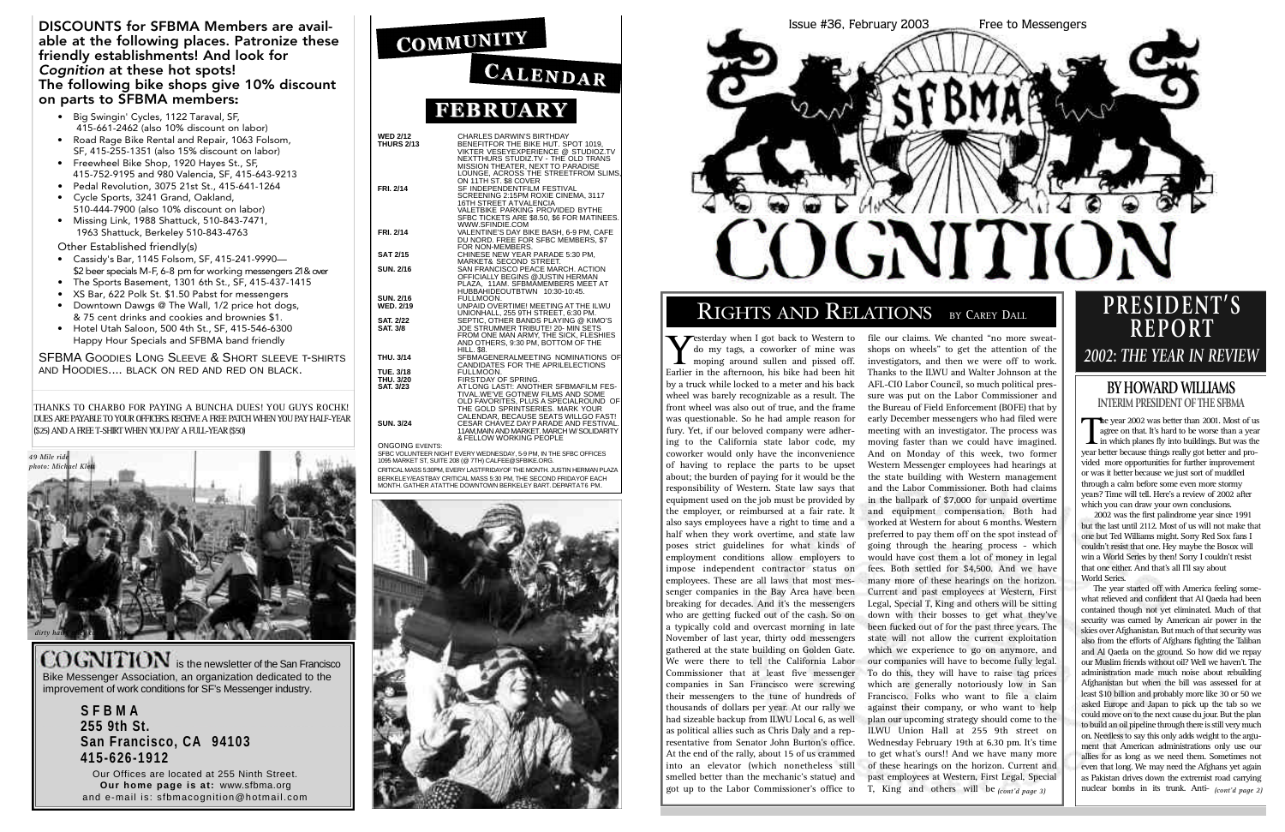| WED 2/12<br>THURS 2/13<br>BENEFITFOR THE BIKE HUT. SPOT 1019,<br>VIKTER VESEYEXPENENCE @ STUDIOZ.TV<br>NESSION THEAT (SERVES STUDIZ.TV - THE OLD TRANS<br>MISSION THEATER, NEXT TO PARADISE<br>TRI. 2/14<br>SF INDEPENDENTEIN, FACT TO PARAD |
|----------------------------------------------------------------------------------------------------------------------------------------------------------------------------------------------------------------------------------------------|
|                                                                                                                                                                                                                                              |
|                                                                                                                                                                                                                                              |
|                                                                                                                                                                                                                                              |
|                                                                                                                                                                                                                                              |

ONGOING EVENTS: SFBC VOLUNTEER NIGHT EVERY WEDNESDAY, 5-9 PM, IN THE SFBC OFFICES<br>1095 MARKET ST, SUITE 208 (@ 7TH) CALFEE@SFBIKE.ORG.

CRITICAL MASS 5:30PM, EVERY LAST FRIDAYOF THE MONTH. JUSTIN HERMAN PLAZA BERKELEY/EASTBAY CRITICAL MASS 5:30 PM, THE SECOND FRIDAYOF EACH<br>MONTH. GATHER ATATTHE DOWNTOWN BERKELEY BART. DEPARTAT6 PM.



COGNITION is the newsletter of the San Francisco Bike Messenger Association, an organization dedicated to the improvement of work conditions for SF's Messenger industry.

# Issue #36, February 2003 Free to Messengers **COGNITION**

# RIGHTS AND RELATIONS BY CAREY DALL

**S F B M A 255 9th St. San Francisco, CA 9 4 1 0 3 4 1 5 - 6 2 6 - 1 9 1 2**

Our Offices are located at 255 Ninth Street. **Our home page is at: www.sfbma.org** and e-mail is: sfbmacognition@hotmail.com

| COMMUNITY       |
|-----------------|
| <b>CALENDAR</b> |
| <b>FEBRUARY</b> |

The year started off with America feeling somewhat relieved and confident that Al Qaeda had been contained though not yet eliminated. Much of that security was earned by American air power in the skies over Afghanistan. But much of that security was also from the efforts of Afghans fighting the Taliban and Al Qaeda on the ground. So how did we repay our Muslim friends without oil? Well we haven't. The administration made much noise about rebuilding Afghanistan but when the bill was assessed for at least \$10 billion and probably more like 30 or 50 we asked Europe and Japan to pick up the tab so we could move on to the next cause du jour. But the plan to build an oil pipeline through there is still very much on. Needless to say this only adds weight to the argument that American administrations only use our allies for as long as we need them. Sometimes not even that long. We may need the Afghans yet again as Pakistan drives down the extremist road carrying T, King and others will be  $_{(cont'd\ page\ 3)}$  | | nuclear bombs in its trunk. Anti- $_{(cont'd\ page\ 2)}$ 

#### DISCOUNTS for SFBMA Members are available at the following places. Patronize these friendly establishments! And look for *Cognition* at these hot spots! The following bike shops give 10% discount on parts to SFBMA members:

- Big Swingin' Cycles, 1122 Taraval, SF, 415-661-2462 (also 10% discount on labor)
- Road Rage Bike Rental and Repair, 1063 Folsom, SF, 415-255-1351 (also 15% discount on labor)
- Freewheel Bike Shop, 1920 Hayes St., SF, 415-752-9195 and 980 Valencia, SF, 415-643-9213
- Pedal Revolution, 3075 21st St., 415-641-1264 • Cycle Sports, 3241 Grand, Oakland,
- 510-444-7900 (also 10% discount on labor) • Missing Link, 1988 Shattuck, 510-843-7471, 1963 Shattuck, Berkeley 510-843-4763

Other Established friendly(s)

- Cassidy's Bar, 1145 Folsom, SF, 415-241-9990— \$2 beer specials M-F, 6-8 pm for working messengers 21 & over
- The Sports Basement, 1301 6th St., SF, 415-437-1415
- XS Bar, 622 Polk St. \$1.50 Pabst for messengers
- Downtown Dawgs @ The Wall, 1/2 price hot dogs, & 75 cent drinks and cookies and brownies \$1.
- Hotel Utah Saloon, 500 4th St., SF, 415-546-6300 Happy Hour Specials and SFBMA band friendly

SFBMA GOODIES LONG SLEEVE & SHORT SLEEVE T-SHIRTS AND HOODIES.... BLACK ON RED AND RED ON BLACK.

THANKS TO CHARBO FOR PAYING A BUNCHA DUES! YOU GUYS ROCHK ! DUES ARE PAYABLE TO YOUR OFFICERS. RECEIVE A FREE PATCH WHEN YOU PAY HALF-YEAR (\$25) AND A FREE T-SHIRT WHEN YOU PAY A FULL-YEAR (\$50)

Testerday when I got back to Western to do my tags, a coworker of mine was moping around sullen and pissed off. Earlier in the afternoon, his bike had been hit by a truck while locked to a meter and his back wheel was barely recognizable as a result. The front wheel was also out of true, and the frame was questionable. So he had ample reason for fury. Yet, if our beloved company were adhering to the California state labor code, my coworker would only have the inconvenience of having to replace the parts to be upset about; the burden of paying for it would be the responsibility of Western. State law says that equipment used on the job must be provided by the employer, or reimbursed at a fair rate. It also says employees have a right to time and a half when they work overtime, and state law poses strict guidelines for what kinds of employment conditions allow employers to impose independent contractor status on employees. These are all laws that most messenger companies in the Bay Area have been breaking for decades. And it's the messengers who are getting fucked out of the cash. So on a typically cold and overcast morning in late November of last year, thirty odd messengers gathered at the state building on Golden Gate. We were there to tell the California Labor Commissioner that at least five messenger companies in San Francisco were screwing their messengers to the tune of hundreds of thousands of dollars per year. At our rally we had sizeable backup from ILWU Local 6, as well as political allies such as Chris Daly and a representative from Senator John Burton's office. At the end of the rally, about 15 of us crammed into an elevator (which nonetheless still smelled better than the mechanic's statue) and got up to the Labor Commissioner's office to

file our claims. We chanted "no more sweatshops on wheels" to get the attention of the investigators, and then we were off to work. Thanks to the ILWU and Walter Johnson at the AFL-CIO Labor Council, so much political pressure was put on the Labor Commissioner and the Bureau of Field Enforcement (BOFE) that by early December messengers who had filed were meeting with an investigator. The process was moving faster than we could have imagined. And on Monday of this week, two former Western Messenger employees had hearings at the state building with Western management and the Labor Commissioner. Both had claims in the ballpark of \$7,000 for unpaid overtime and equipment compensation. Both had worked at Western for about 6 months. Western preferred to pay them off on the spot instead of going through the hearing process - which would have cost them a lot of money in legal fees. Both settled for \$4,500. And we have many more of these hearings on the horizon. Current and past employees at Western, First Legal, Special T, King and others will be sitting down with their bosses to get what they've been fucked out of for the past three years. The state will not allow the current exploitation which we experience to go on anymore, and our companies will have to become fully legal. To do this, they will have to raise tag prices which are generally notoriously low in San Francisco. Folks who want to file a claim against their company, or who want to help plan our upcoming strategy should come to the ILWU Union Hall at 255 9th street on Wednesday February 19th at 6.30 pm. It's time to get what's ours!! And we have many more of these hearings on the horizon. Current and past employees at Western, First Legal, Special T, King and others will be  $_{\text{cont'd\textit{ space 3}}\textit{)}}$ 



#### **BY HOWARD WILLIAMS INTERIM PRESIDENT OF THE SFBMA**

The year 2002 was better than 2001. Most of us<br>agree on that. It's hard to be worse than a year<br>in which planes fly into buildings. But was the<br>vear better because things really got better and proagree on that. It's hard to be worse than a year  $\blacktriangle$  in which planes fly into buildings. But was the year better because things really got better and provided more opportunities for further improvement or was it better because we just sort of muddled through a calm before some even more stormy years? Time will tell. Here's a review of 2002 after which you can draw your own conclusions.

2002 was the first palindrome year since 1991 but the last until 2112. Most of us will not make that one but Ted Williams might. Sorry Red Sox fans I couldn't resist that one. Hey maybe the Bosox will win a World Series by then! Sorry I couldn't resist that one either. And that's all I'll say about World Series.

# **P R E S I D E N T ' S R E P O R T**

# Y *<sup>2002</sup>***:** *THE YEAR IN REVIEW*

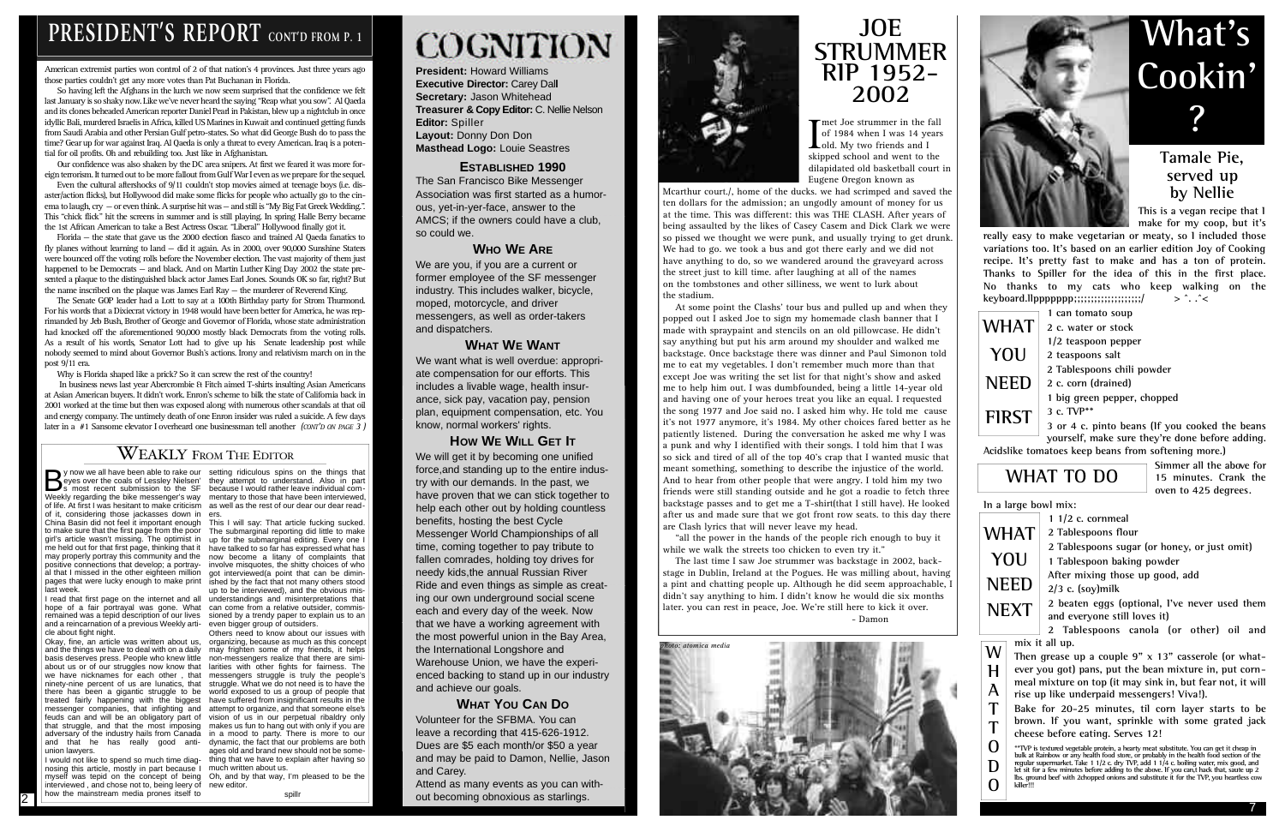**President:** Howard Williams **Executive Director: Carey Dall Secretary:** Jason Whitehead **Treasurer & Copy Editor:** C. Nellie Nelson **Editor: Spiller Layout:** Donny Don Don **Masthead Logo:** Louie Seastres

#### **ESTABLISHED 1990**

The San Francisco Bike Messenger Association was first started as a humorous, yet-in-yer-face, answer to the AMCS; if the owners could have a club, so could we.

#### **WHO WE ARE**

We are you, if you are a current or former employee of the SF messenger industry. This includes walker, bicycle, moped, motorcycle, and driver messengers, as well as order-takers and dispatchers.

#### **WHAT WE WANT**

We want what is well overdue: appropriate compensation for our efforts. This includes a livable wage, health insurance, sick pay, vacation pay, pension plan, equipment compensation, etc. You know, normal workers' rights.

#### **HOW WE WILL GET IT**

We will get it by becoming one unified force,and standing up to the entire industry with our demands. In the past, we have proven that we can stick together to help each other out by holding countless benefits, hosting the best Cycle Messenger World Championships of all time, coming together to pay tribute to fallen comrades, holding toy drives for needy kids,the annual Russian River Ride and even things as simple as creating our own underground social scene each and every day of the week. Now that we have a working agreement with the most powerful union in the Bay Area, the International Longshore and Warehouse Union, we have the experienced backing to stand up in our industry and achieve our goals.

2 Tablespoons canola (or other) oil and **mix it all up.** 

#### **WHAT YOU CAN DO**

**\*\*TVP is textured vegetable protein, a hearty meat substitute. You can get it cheap in** bulk at Rainbow or any health food store, or probably in the health food section of the<br>regular supermarket. Take 1 1/2 c dry TVP, add 1 1/4 c. boiling water, mix good, and<br>let sit for a few minutes before adding to the ab lbs. ground beef with 2chopped onions and substitute it for the TVP, you heartless cow<br>killer!!!

Volunteer for the SFBMA. You can leave a recording that 415-626-1912. Dues are \$5 each month/or \$50 a year and may be paid to Damon, Nellie, Jason and Carey.

Attend as many events as you can without becoming obnoxious as starlings.



#### **Tamale Pie, served up by Nellie**

**This is a vegan recipe that I make for my coop, but it's**

**really easy to make vegetarian or meaty, so I included those variations too. It's based on an earlier edition Joy of Cooking recipe. It's pretty fast to make and has a ton of protein. Thanks to Spiller for the idea of this in the first place. No thanks to my cats who keep walking on the keyboard.llppppppp;;;;;;;;;;;;;;;;;;;;/ > ^. .^<**

**1 can tomato soup**

**1/2 teaspoon pepper**

**2 teaspoons salt** 

**2 Tablespoons chili powder** 

**2 c. corn (drained)**

**1 big green pepper, chopped** 

**3 c. TVP\*\***

**3 or 4 c. pinto beans (If you cooked the beans yourself, make sure they're done before adding.**

**Acidslike tomatoes keep beans from softening more.)**

**Simmer all the above for 15 minutes. Crank the oven to 425 degrees.**

**In a large bowl mix:** 

**2 Tablespoons flour**

**2 Tablespoons sugar (or honey, or just omit)**

**1 Tablespoon baking powder** 

**After mixing those up good, add** 

**2/3 c. (soy)milk**

**2 beaten eggs (optional, I've never used them and everyone still loves it)**



**Then grease up a couple 9" x 13" casserole (or whatever you got) pans, put the bean mixture in, put cornmeal mixture on top (it may sink in, but fear not, it will rise up like underpaid messengers! Viva!).** 

**Bake for 20-25 minutes, til corn layer starts to be brown. If you want, sprinkle with some grated jack cheese before eating. Serves 12!**

In business news last year Abercrombie & Fitch aimed T-shirts insulting Asian Americans at Asian American buyers. It didn't work. Enron's scheme to bilk the state of California back in 2001 worked at the time but then was exposed along with numerous other scandals at that oil and energy company. The untimely death of one Enron insider was ruled a suicide. A few days later in a #1 Sansome elevator I overheard one businessman tell another (CONT'D ON PAGE 3)

#### $\overline{\text{W}}$ EAKLY From The Editor

**1 1/2 c. cornmeal WHAT YOU NEED NEXT**

The Joe strummer in the fall<br>of 1984 when I was 14 years<br>old. My two friends and I<br>skinned school and went to the of 1984 when I was 14 years Lold. My two friends and I skipped school and went to the dilapidated old basketball court in Eugene Oregon known as

# **What's Cookin' ?**

### **WHAT TO DO**

**W H A T T O D O**

# **PRESIDENT'S REPORT** CONT'D FROM P. 1

American extremist parties won control of 2 of that nation's 4 provinces. Just three years ago those parties couldn't get any more votes than Pat Buchanan in Florida.

So having left the Afghans in the lurch we now seem surprised that the confidence we felt last January is so shaky now. Like we've never heard the saying "Reap what you sow". Al Qaeda and its clones beheaded American reporter Daniel Pearl in Pakistan, blew up a nightclub in once idyllic Bali, murdered Israelis in Africa, killed US Marines in Kuwait and continued getting funds from Saudi Arabia and other Persian Gulf petro-states. So what did George Bush do to pass the time? Gear up for war against Iraq. Al Qaeda is only a threat to every American. Iraq is a potential for oil profits. Oh and rebuilding too. Just like in Afghanistan.

Our confidence was also shaken by the DC area snipers. At first we feared it was more foreign terrorism. It turned out to be more fallout from Gulf War I even as we prepare for the sequel.

Even the cultural aftershocks of 9/11 couldn't stop movies aimed at teenage boys (i.e. disaster/action flicks), but Hollywood did make some flicks for people who actually go to the cinema to laugh,  $\text{cry} - \text{or}$  even think. A surprise hit was  $-\text{ and}$  still is "My Big Fat Greek Wedding.". This "chick flick" hit the screens in summer and is still playing. In spring Halle Berry became the 1st African American to take a Best Actress Oscar. "Liberal" Hollywood finally got it.

Solution we all have been able to rake our setting ridiculous spins on the things that also is part expension to the SF because I would rather leave individual computer that the set of the SF because I would rather leave i Weekly regarding the bike messenger's way mentary to those that have been interviewed, of life. At first I was hesitant to make criticism as well as the rest of our dear our dear readof it, considering those jackasses down in ers. China Basin did not feel it important enough This I will say: That article fucking sucked. to make sure that the first page from the poor The submarginal reporting did little to make girl's article wasn't missing. The optimist in up for the submarginal editing. Every one I me held out for that first page, thinking that it have talked to so far has expressed what has may properly portray this community and the now become a litany of complaints that positive connections that develop; a portray- involve misquotes, the shitty choices of who al that I missed in the other eighteen million got interviewed(a point that can be diminpages that were lucky enough to make print ished by the fact that not many others stood last week.

Florida — the state that gave us the 2000 election fiasco and trained Al Qaeda fanatics to fly planes without learning to land — did it again. As in 2000, over 90,000 Sunshine Staters were bounced off the voting rolls before the November election. The vast majority of them just happened to be Democrats — and black. And on Martin Luther King Day 2002 the state presented a plaque to the distinguished black actor James Earl Jones. Sounds OK so far, right? But the name inscribed on the plaque was James Earl Ray — the murderer of Reverend King.

eyes over the coals of Lessley Nielsen' they attempt to understand. Also in part s most recent submission to the SF because I would rather leave individual com-

The Senate GOP leader had a Lott to say at a 100th Birthday party for Strom Thurmond. For his words that a Dixiecrat victory in 1948 would have been better for America, he was reprimanded by Jeb Bush, Brother of George and Governor of Florida, whose state administration had knocked off the aforementioned 90,000 mostly black Democrats from the voting rolls. As a result of his words, Senator Lott had to give up his Senate leadership post while nobody seemed to mind about Governor Bush's actions. Irony and relativism march on in the post 9/11 era.

Why is Florida shaped like a prick? So it can screw the rest of the country!

I would not like to spend so much time diag- thing that we have to explain after having so Others need to know about our issues with ages old and brand new should not be some-

# **JOE STRUMMER RIP 1952- 2002**

Mcarthur court./, home of the ducks. we had scrimped and saved the ten dollars for the admission; an ungodly amount of money for us at the time. This was different: this was THE CLASH. After years of being assaulted by the likes of Casey Casem and Dick Clark we were so pissed we thought we were punk, and usually trying to get drunk. We had to go. we took a bus and got there early and we did not have anything to do, so we wandered around the graveyard across the street just to kill time. after laughing at all of the names

on the tombstones and other silliness, we went to lurk about the stadium. At some point the Clashs' tour bus and pulled up and when they popped out I asked Joe to sign my homemade clash banner that I made with spraypaint and stencils on an old pillowcase. He didn't say anything but put his arm around my shoulder and walked me backstage. Once backstage there was dinner and Paul Simonon told me to eat my vegetables. I don't remember much more than that except Joe was writing the set list for that night's show and asked me to help him out. I was dumbfounded, being a little 14-year old and having one of your heroes treat you like an equal. I requested the song 1977 and Joe said no. I asked him why. He told me cause it's not 1977 anymore, it's 1984. My other choices fared better as he patiently listened. During the conversation he asked me why I was a punk and why I identified with their songs. I told him that I was so sick and tired of all of the top 40's crap that I wanted music that meant something, something to describe the injustice of the world. And to hear from other people that were angry. I told him my two friends were still standing outside and he got a roadie to fetch three backstage passes and to get me a T-shirt(that I still have). He looked after us and made sure that we got front row seats. to this day there are Clash lyrics that will never leave my head.

"all the power in the hands of the people rich enough to buy it while we walk the streets too chicken to even try it."

The last time I saw Joe strummer was backstage in 2002, backstage in Dublin, Ireland at the Pogues. He was milling about, having a pint and chatting people up. Although he did seem approachable, I didn't say anything to him. I didn't know he would die six months later. you can rest in peace, Joe. We're still here to kick it over. - Damon

2

I read that first page on the internet and all understandings and misinterpretations that hope of a fair portrayal was gone. What can come from a relative outsider, commisremained was a tepid description of our lives sioned by a trendy paper to explain us to an and a reincarnation of a previous Weekly arti-even bigger group of outsiders. cle about fight night.

Okay, fine, an article was written about us, organizing, because as much as this concept and the things we have to deal with on a daily may frighten some of my friends, it helps basis deserves press. People who knew little non-messengers realize that there are simiabout us or of our struggles now know that larities with other fights for fairness. The we have nicknames for each other , that messengers struggle is truly the people's ninety-nine percent of us are lunatics, that struggle. What we do not need is to have the there has been a gigantic struggle to be world exposed to us a group of people that treated fairly happening with the biggest have suffered from insignificant results in the messenger companies, that infighting and attempt to organize, and that someone else's feuds can and will be an obligatory part of vision of us in our perpetual ribaldry only that struggle, and that the most imposing makes us fun to hang out with only if you are adversary of the industry hails from Canada in a mood to party. There is more to our and that he has really good anti-dynamic, the fact that our problems are both union lawyers.

nosing this article, mostly in part because I much written about us. myself was tepid on the concept of being Oh, and by that way, I'm pleased to be the interviewed , and chose not to, being leery of how the mainstream media prones itself to

up to be interviewed), and the obvious mis-

new editor.

spill

# **COGNITION**



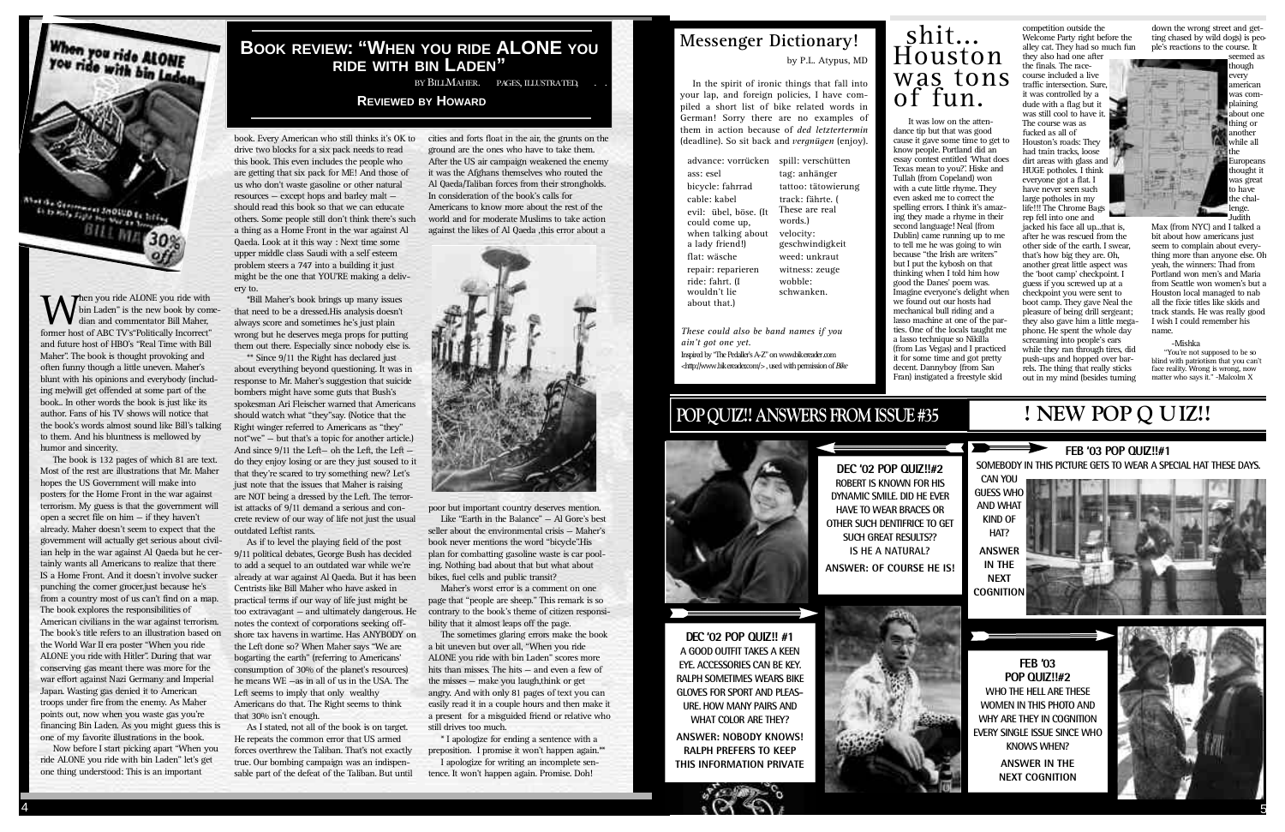## **POP QUIZ!! ANSWERS FROM ISSUE #35**



**SUCH GREAT RESULTS?? IS HE A NATURAL?**



When you ride ALONE<br>You ride with bin Laden Aborde Gent Et to kula Sigle for War ex **SALARA DES TOTAL** BILL MA



**W** former host of ABC TV's "Politically Incorrect" former host of ABC TV's "Politically Incorrect" hen you ride ALONE you ride with bin Laden" is the new book by comedian and commentator Bill Maher, and future host of HBO's "Real Time with Bill Maher". The book is thought provoking and often funny though a little uneven. Maher's blunt with his opinions and everybody (including me)will get offended at some part of the book.. In other words the book is just like its author. Fans of his TV shows will notice that the book's words almost sound like Bill's talking to them. And his bluntness is mellowed by humor and sincerity.

\*Bill Maher's book brings up many issues that need to be a dressed.His analysis doesn't always score and sometimes he's just plain wrong but he deserves mega props for putting them out there. Especially since nobody else is.

The book is 132 pages of which 81 are text. Most of the rest are illustrations that Mr. Maher hopes the US Government will make into posters for the Home Front in the war against terrorism. My guess is that the government will open a secret file on him — if they haven't already. Maher doesn't seem to expect that the government will actually get serious about civilian help in the war against Al Qaeda but he certainly wants all Americans to realize that there IS a Home Front. And it doesn't involve sucker punching the corner grocer.just because he's from a country most of us can't find on a map. The book explores the responsibilities of American civilians in the war against terrorism. The book's title refers to an illustration based on the World War II era poster "When you ride ALONE you ride with Hitler". During that war conserving gas meant there was more for the war effort against Nazi Germany and Imperial Japan. Wasting gas denied it to American troops under fire from the enemy. As Maher points out, now when you waste gas you're financing Bin Laden. As you might guess this is one of my favorite illustrations in the book.

Now before I start picking apart "When you ride ALONE you ride with bin Laden" let's get one thing understood: This is an important

book. Every American who still thinks it's OK to drive two blocks for a six pack needs to read this book. This even includes the people who are getting that six pack for ME! And those of us who don't waste gasoline or other natural resources — except hops and barley malt should read this book so that we can educate others. Some people still don't think there's such a thing as a Home Front in the war against Al Qaeda. Look at it this way : Next time some upper middle class Saudi with a self esteem problem steers a 747 into a building it just might be the one that YOU'RE making a delivery to.

> \* I apologize for ending a sentence with a preposition. I promise it won't happen again.\*\*

**D E C ' 02 POP QUIZ!! #1 A GOOD OUTFIT TAKES A KEEN EYE. ACCESSORIES CAN BE KEY. RALPH SOMETIMES WEARS BIKE GLOVES FOR SPORT AND PLEAS-URE. HOW MANY PAIRS AND WHAT COLOR ARE THEY?** 

## $shift...$ Houston was tons of fun.

\*\* Since 9/11 the Right has declared just about everything beyond questioning. It was in response to Mr. Maher's suggestion that suicide bombers might have some guts that Bush's spokesman Ari Fleischer warned that Americans should watch what "they"say. (Notice that the Right winger referred to Americans as "they" not"we" — but that's a topic for another article.) And since 9/11 the Left— oh the Left, the Left do they enjoy losing or are they just soused to it that they're scared to try something new? Let's just note that the issues that Maher is raising are NOT being a dressed by the Left. The terrorist attacks of 9/11 demand a serious and concrete review of our way of life not just the usual outdated Leftist rants.

As if to level the playing field of the post 9/11 political debates, George Bush has decided to add a sequel to an outdated war while we're already at war against Al Qaeda. But it has been Centrists like Bill Maher who have asked in practical terms if our way of life just might be too extravagant — and ultimately dangerous. He notes the context of corporations seeking offshore tax havens in wartime. Has ANYBODY on the Left done so? When Maher says "We are bogarting the earth" (referring to Americans' consumption of 30% of the planet's resources) he means WE —as in all of us in the USA. The Left seems to imply that only wealthy Americans do that. The Right seems to think that 30% isn't enough.

jacked his face all up...that is, after he was rescued from the other side of the earth. I swear, that's how big they are. Oh, another great little aspect was the 'boot camp' checkpoint. I guess if you screwed up at a checkpoint you were sent to boot camp. They gave Neal the pleasure of being drill sergeant; they also gave him a little megaphone. He spent the whole day screaming into people's ears while they ran through tires, did push-ups and hopped over barrels. The thing that really sticks out in my mind (besides turning

seemed as though every american was complaining about one thing or n other while all he Europeans thought it was great to have the challenge. udith

As I stated, not all of the book is on target. He repeats the common error that US armed forces overthrew the Taliban. That's not exactly true. Our bombing campaign was an indispensable part of the defeat of the Taliban. But until

"You're not supposed to be so blind with patriotism that you can't face reality. Wrong is wrong, now matter who says it." -Malcolm X

*These could also be band names if you ain't got one yet.* Inspired by "The Pedaller's A-Z" on www.bikereader.com

cities and forts float in the air, the grunts on the ground are the ones who have to take them. After the US air campaign weakened the enemy it was the Afghans themselves who routed the Al Qaeda/Taliban forces from their strongholds. In consideration of the book's calls for Americans to know more about the rest of the world and for moderate Muslims to take action against the likes of Al Qaeda ,this error about a



poor but important country deserves mention.

Like "Earth in the Balance"  $-$  Al Gore's best seller about the environmental crisis — Maher's book never mentions the word "bicycle". His plan for combatting gasoline waste is car pooling. Nothing bad about that but what about bikes, fuel cells and public transit?

Maher's worst error is a comment on one page that "people are sheep." This remark is so contrary to the book's theme of citizen responsibility that it almost leaps off the page.

The sometimes glaring errors make the book a bit uneven but over all, "When you ride ALONE you ride with bin Laden" scores more hits than misses. The hits — and even a few of the misses — make you laugh,think or get angry. And with only 81 pages of text you can easily read it in a couple hours and then make it a present for a misguided friend or relative who still drives too much.

I apologize for writing an incomplete sentence. It won't happen again. Promise. Doh!

**ANSWER: NOBODY KNOWS! RALPH PREFERS TO KEEP THIS INFORMATION PRIVATE**

#### **BOOK REVIEW: "WHEN YOU RIDE ALONE YOU RIDE WITH BIN LADEN"**

BY BILLMAHER. 132 PAGES, ILLUSTRATED, \$27.95.

#### **REVIEWED BY HOWARD**

advance: vorrücken spill: verschütten ass: esel bicycle: fahrrad cable: kabel evil: übel, böse. (It could come up, when talking about a lady friend!) flat: wäsche repair: reparieren ride: fahrt. (I wouldn't lie about that.)

tag: anhänger tattoo: tätowierung

#### track: fährte. ( These are real words.) velocity: geschwindigkeit weed: unkraut witness: zeuge wobble: schwanken.

 $\langle$ http://www.bikereader.com/>, used with permission of *Bike* 

It was low on the attendance tip but that was good cause it gave some time to get to know people. Portland did an essay contest entitled 'What does Texas mean to you?'. Hiske and Tullah (from Copeland) won with a cute little rhyme. They even asked me to correct the spelling errors. I think it's amazing they made a rhyme in their second language! Neal (from Dublin) came running up to me to tell me he was going to win because "the Irish are writers" but I put the kybosh on that thinking when I told him how good the Danes' poem was. Imagine everyone's delight when we found out our hosts had mechanical bull riding and a lasso machine at one of the parties. One of the locals taught me a lasso technique so Nikilla (from Las Vegas) and I practiced it for some time and got pretty decent. Dannyboy (from San Fran) instigated a freestyle skid

competition outside the Welcome Party right before the alley cat. They had so much fun they also had one after the finals. The racecourse included a live traffic intersection. Sure, it was controlled by a dude with a flag but it was still cool to have it. The course was as fucked as all of Houston's roads: They had train tracks, loose dirt areas with glass and HUGE potholes. I think everyone got a flat. I have never seen such large potholes in my life!!! The Chrome Bags rep fell into one and

down the wrong street and getting chased by wild dogs) is people's reactions to the course. It



Max (from NYC) and I talked a bit about how americans just seem to complain about everything more than anyone else. Oh yeah, the winners: Thad from Portland won men's and Maria from Seattle won women's but a Houston local managed to nab all the fixie titles like skids and track stands. He was really good; I wish I could remember his name.

#### -Mishka

## **Messenger Dictionary!**

by P.L. Atypus, MD

In the spirit of ironic things that fall into your lap, and foreign policies, I have compiled a short list of bike related words in German! Sorry there are no examples of them in action because of *ded letztertermin* (deadline). So sit back and *vergnügen* (enjoy).